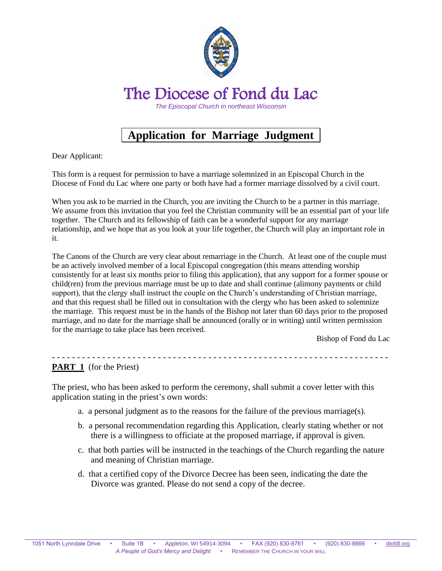

## **Application for Marriage Judgment\_**

Dear Applicant:

This form is a request for permission to have a marriage solemnized in an Episcopal Church in the Diocese of Fond du Lac where one party or both have had a former marriage dissolved by a civil court.

When you ask to be married in the Church, you are inviting the Church to be a partner in this marriage. We assume from this invitation that you feel the Christian community will be an essential part of your life together. The Church and its fellowship of faith can be a wonderful support for any marriage relationship, and we hope that as you look at your life together, the Church will play an important role in it.

The Canons of the Church are very clear about remarriage in the Church. At least one of the couple must be an actively involved member of a local Episcopal congregation (this means attending worship consistently for at least six months prior to filing this application), that any support for a former spouse or child(ren) from the previous marriage must be up to date and shall continue (alimony payments or child support), that the clergy shall instruct the couple on the Church's understanding of Christian marriage, and that this request shall be filled out in consultation with the clergy who has been asked to solemnize the marriage. This request must be in the hands of the Bishop not later than 60 days prior to the proposed marriage, and no date for the marriage shall be announced (orally or in writing) until written permission for the marriage to take place has been received.

Bishop of Fond du Lac

- - - - - - - - - - - - - - - - - - - - - - - - - - - - - - - - - - - - - - - - - - - - - - - - - - - - - - - - - - - - - - - - - - - **PART 1** (for the Priest)

The priest, who has been asked to perform the ceremony, shall submit a cover letter with this application stating in the priest's own words:

- a. a personal judgment as to the reasons for the failure of the previous marriage(s).
- b. a personal recommendation regarding this Application, clearly stating whether or not there is a willingness to officiate at the proposed marriage, if approval is given.
- c. that both parties will be instructed in the teachings of the Church regarding the nature and meaning of Christian marriage.
- d. that a certified copy of the Divorce Decree has been seen, indicating the date the Divorce was granted. Please do not send a copy of the decree.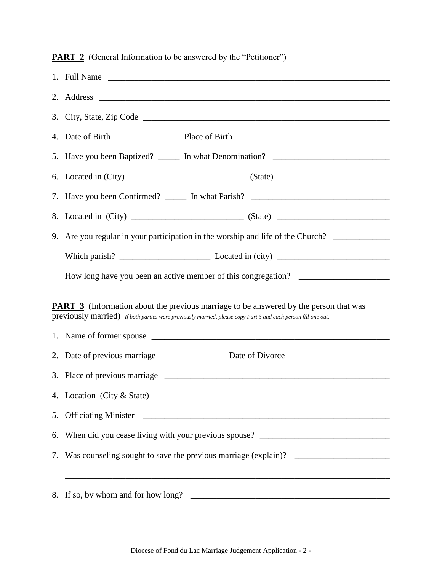**PART 2** (General Information to be answered by the "Petitioner")

| 5. Have you been Baptized? ______ In what Denomination? ________________________                                                                                                                              |
|---------------------------------------------------------------------------------------------------------------------------------------------------------------------------------------------------------------|
|                                                                                                                                                                                                               |
| 7. Have you been Confirmed? ______ In what Parish? _____________________________                                                                                                                              |
|                                                                                                                                                                                                               |
| 9. Are you regular in your participation in the worship and life of the Church?                                                                                                                               |
|                                                                                                                                                                                                               |
| How long have you been an active member of this congregation? ___________________                                                                                                                             |
|                                                                                                                                                                                                               |
| <b>PART 3</b> (Information about the previous marriage to be answered by the person that was<br>previously married) If both parties were previously married, please copy Part 3 and each person fill one out. |
|                                                                                                                                                                                                               |
|                                                                                                                                                                                                               |
|                                                                                                                                                                                                               |
|                                                                                                                                                                                                               |
| 6. When did you cease living with your previous spouse? _________________________                                                                                                                             |
| 7. Was counseling sought to save the previous marriage (explain)? _______________                                                                                                                             |
|                                                                                                                                                                                                               |
|                                                                                                                                                                                                               |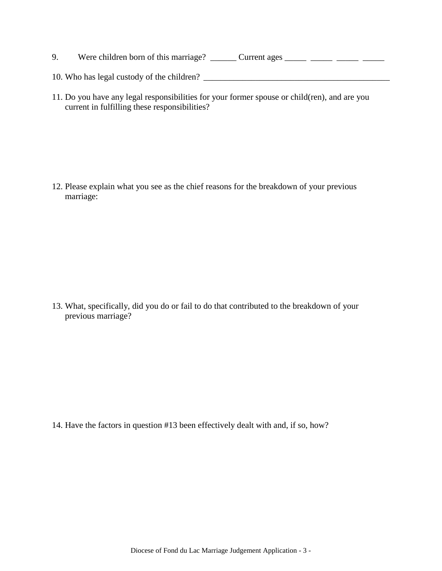- 9. Were children born of this marriage? \_\_\_\_\_\_\_ Current ages \_\_\_\_\_\_ \_\_\_\_\_ \_\_\_\_\_ \_\_\_\_\_
- 10. Who has legal custody of the children? \_\_\_\_\_\_\_\_\_\_\_\_\_\_\_\_\_\_\_\_\_\_\_\_\_\_\_\_\_\_\_\_\_\_\_\_\_\_\_\_\_\_\_
- 11. Do you have any legal responsibilities for your former spouse or child(ren), and are you current in fulfilling these responsibilities?

12. Please explain what you see as the chief reasons for the breakdown of your previous marriage:

13. What, specifically, did you do or fail to do that contributed to the breakdown of your previous marriage?

14. Have the factors in question #13 been effectively dealt with and, if so, how?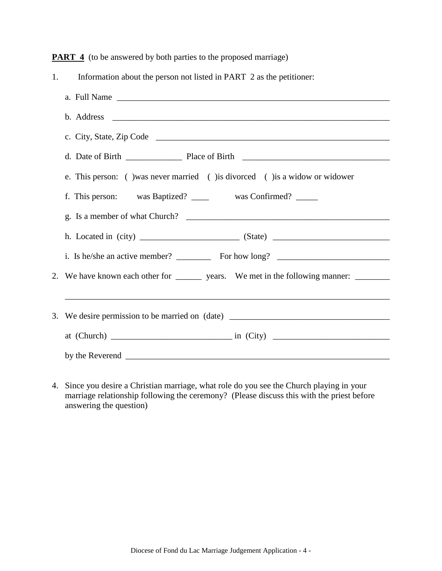**PART 4** (to be answered by both parties to the proposed marriage)

| 1. | Information about the person not listed in PART 2 as the petitioner:                    |
|----|-----------------------------------------------------------------------------------------|
|    |                                                                                         |
|    |                                                                                         |
|    |                                                                                         |
|    |                                                                                         |
|    | e. This person: () was never married () is divorced () is a widow or widower            |
|    | f. This person: was Baptized? ______ was Confirmed? _____                               |
|    |                                                                                         |
|    |                                                                                         |
|    |                                                                                         |
|    | 2. We have known each other for ________ years. We met in the following manner: _______ |
|    |                                                                                         |
|    | 3. We desire permission to be married on (date) _________________________________       |
|    |                                                                                         |
|    |                                                                                         |

4. Since you desire a Christian marriage, what role do you see the Church playing in your marriage relationship following the ceremony? (Please discuss this with the priest before answering the question)